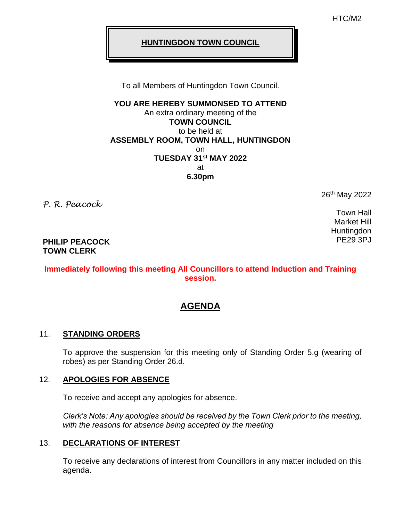HTC/M2

#### **HUNTINGDON TOWN COUNCIL**

To all Members of Huntingdon Town Council.

**YOU ARE HEREBY SUMMONSED TO ATTEND** An extra ordinary meeting of the **TOWN COUNCIL** to be held at **ASSEMBLY ROOM, TOWN HALL, HUNTINGDON** on **TUESDAY 31st MAY 2022** at **6.30pm**

*P. R. Peacock*

26<sup>th</sup> May 2022

Town Hall Market Hill **Huntingdon** PE29 3PJ

#### **PHILIP PEACOCK TOWN CLERK**

## **Immediately following this meeting All Councillors to attend Induction and Training session.**

# **AGENDA**

## 11. **STANDING ORDERS**

To approve the suspension for this meeting only of Standing Order 5.g (wearing of robes) as per Standing Order 26.d.

## 12. **APOLOGIES FOR ABSENCE**

To receive and accept any apologies for absence.

*Clerk's Note: Any apologies should be received by the Town Clerk prior to the meeting, with the reasons for absence being accepted by the meeting*

## 13. **DECLARATIONS OF INTEREST**

To receive any declarations of interest from Councillors in any matter included on this agenda.